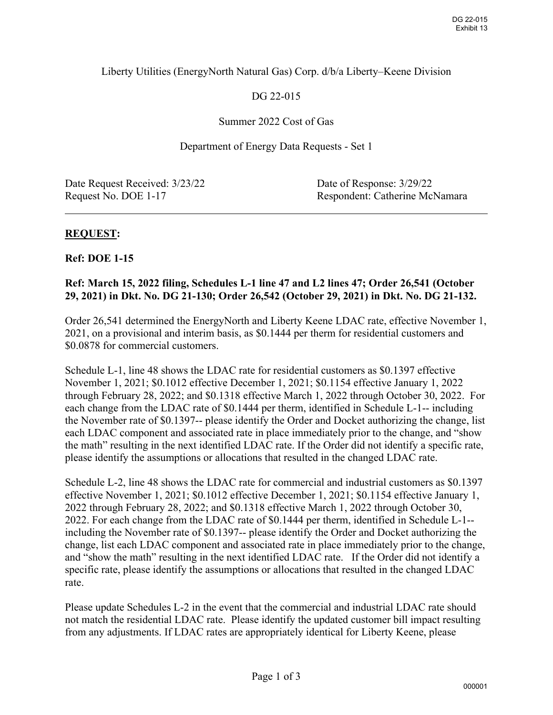# Liberty Utilities (EnergyNorth Natural Gas) Corp. d/b/a Liberty–Keene Division

# DG 22-015

### Summer 2022 Cost of Gas

#### Department of Energy Data Requests - Set 1

Date Request Received:  $3/23/22$  Date of Response:  $3/29/22$ 

Request No. DOE 1-17 Respondent: Catherine McNamara

 $\overline{a}$ 

### **REQUEST:**

#### **Ref: DOE 1-15**

### **Ref: March 15, 2022 filing, Schedules L-1 line 47 and L2 lines 47; Order 26,541 (October 29, 2021) in Dkt. No. DG 21-130; Order 26,542 (October 29, 2021) in Dkt. No. DG 21-132.**

Order 26,541 determined the EnergyNorth and Liberty Keene LDAC rate, effective November 1, 2021, on a provisional and interim basis, as \$0.1444 per therm for residential customers and \$0.0878 for commercial customers.

Schedule L-1, line 48 shows the LDAC rate for residential customers as \$0.1397 effective November 1, 2021; \$0.1012 effective December 1, 2021; \$0.1154 effective January 1, 2022 through February 28, 2022; and \$0.1318 effective March 1, 2022 through October 30, 2022. For each change from the LDAC rate of \$0.1444 per therm, identified in Schedule L-1-- including the November rate of \$0.1397-- please identify the Order and Docket authorizing the change, list each LDAC component and associated rate in place immediately prior to the change, and "show the math" resulting in the next identified LDAC rate. If the Order did not identify a specific rate, please identify the assumptions or allocations that resulted in the changed LDAC rate.

Schedule L-2, line 48 shows the LDAC rate for commercial and industrial customers as \$0.1397 effective November 1, 2021; \$0.1012 effective December 1, 2021; \$0.1154 effective January 1, 2022 through February 28, 2022; and \$0.1318 effective March 1, 2022 through October 30, 2022. For each change from the LDAC rate of \$0.1444 per therm, identified in Schedule L-1- including the November rate of \$0.1397-- please identify the Order and Docket authorizing the change, list each LDAC component and associated rate in place immediately prior to the change, and "show the math" resulting in the next identified LDAC rate. If the Order did not identify a specific rate, please identify the assumptions or allocations that resulted in the changed LDAC rate.

Please update Schedules L-2 in the event that the commercial and industrial LDAC rate should not match the residential LDAC rate. Please identify the updated customer bill impact resulting from any adjustments. If LDAC rates are appropriately identical for Liberty Keene, please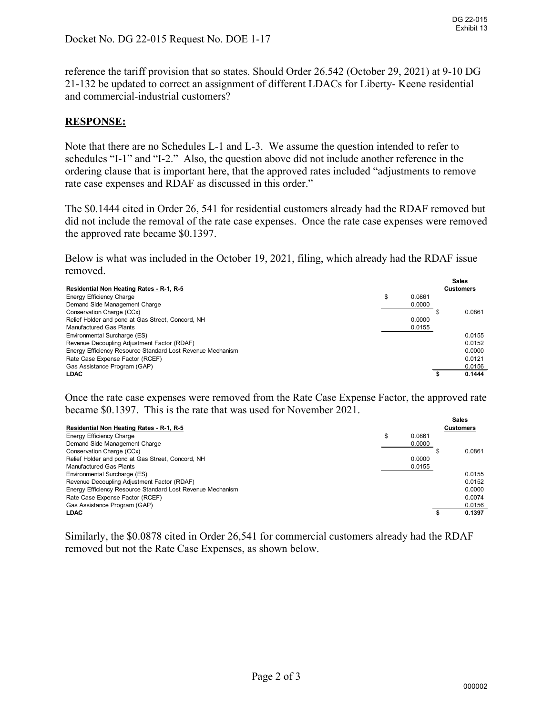reference the tariff provision that so states. Should Order 26.542 (October 29, 2021) at 9-10 DG 21-132 be updated to correct an assignment of different LDACs for Liberty- Keene residential and commercial-industrial customers?

# **RESPONSE:**

Note that there are no Schedules L-1 and L-3. We assume the question intended to refer to schedules "I-1" and "I-2." Also, the question above did not include another reference in the ordering clause that is important here, that the approved rates included "adjustments to remove rate case expenses and RDAF as discussed in this order."

The \$0.1444 cited in Order 26, 541 for residential customers already had the RDAF removed but did not include the removal of the rate case expenses. Once the rate case expenses were removed the approved rate became \$0.1397.

Below is what was included in the October 19, 2021, filing, which already had the RDAF issue removed.

|                                                            |   |        |  | <b>Sales</b>     |  |  |
|------------------------------------------------------------|---|--------|--|------------------|--|--|
| Residential Non Heating Rates - R-1, R-5                   |   |        |  | <b>Customers</b> |  |  |
| Energy Efficiency Charge                                   | æ | 0.0861 |  |                  |  |  |
| Demand Side Management Charge                              |   | 0.0000 |  |                  |  |  |
| Conservation Charge (CCx)                                  |   |        |  | 0.0861           |  |  |
| Relief Holder and pond at Gas Street, Concord, NH          |   | 0.0000 |  |                  |  |  |
| <b>Manufactured Gas Plants</b>                             |   | 0.0155 |  |                  |  |  |
| Environmental Surcharge (ES)                               |   |        |  | 0.0155           |  |  |
| Revenue Decoupling Adjustment Factor (RDAF)                |   |        |  | 0.0152           |  |  |
| Energy Efficiency Resource Standard Lost Revenue Mechanism |   |        |  | 0.0000           |  |  |
| Rate Case Expense Factor (RCEF)                            |   |        |  | 0.0121           |  |  |
| Gas Assistance Program (GAP)                               |   |        |  | 0.0156           |  |  |
| <b>LDAC</b>                                                |   |        |  | 0.1444           |  |  |

Once the rate case expenses were removed from the Rate Case Expense Factor, the approved rate became \$0.1397. This is the rate that was used for November 2021.

|                                                            |    |        | Sales            |
|------------------------------------------------------------|----|--------|------------------|
| Residential Non Heating Rates - R-1, R-5                   |    |        | <b>Customers</b> |
| Energy Efficiency Charge                                   | \$ | 0.0861 |                  |
| Demand Side Management Charge                              |    | 0.0000 |                  |
| Conservation Charge (CCx)                                  |    |        | 0.0861           |
| Relief Holder and pond at Gas Street, Concord, NH          |    | 0.0000 |                  |
| Manufactured Gas Plants                                    |    | 0.0155 |                  |
| Environmental Surcharge (ES)                               |    |        | 0.0155           |
| Revenue Decoupling Adjustment Factor (RDAF)                |    |        | 0.0152           |
| Energy Efficiency Resource Standard Lost Revenue Mechanism |    |        | 0.0000           |
| Rate Case Expense Factor (RCEF)                            |    |        | 0.0074           |
| Gas Assistance Program (GAP)                               |    |        | 0.0156           |
| <b>LDAC</b>                                                |    |        | 0.1397           |

Similarly, the \$0.0878 cited in Order 26,541 for commercial customers already had the RDAF removed but not the Rate Case Expenses, as shown below.